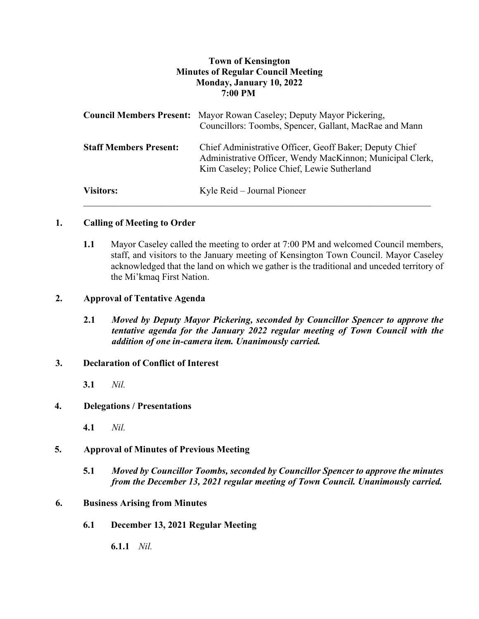# **Town of Kensington Minutes of Regular Council Meeting Monday, January 10, 2022 7:00 PM**

|                               | <b>Council Members Present:</b> Mayor Rowan Caseley; Deputy Mayor Pickering,<br>Councillors: Toombs, Spencer, Gallant, MacRae and Mann                              |
|-------------------------------|---------------------------------------------------------------------------------------------------------------------------------------------------------------------|
| <b>Staff Members Present:</b> | Chief Administrative Officer, Geoff Baker; Deputy Chief<br>Administrative Officer, Wendy MacKinnon; Municipal Clerk,<br>Kim Caseley; Police Chief, Lewie Sutherland |
| <b>Visitors:</b>              | Kyle Reid – Journal Pioneer                                                                                                                                         |

### **1. Calling of Meeting to Order**

**1.1** Mayor Caseley called the meeting to order at 7:00 PM and welcomed Council members, staff, and visitors to the January meeting of Kensington Town Council. Mayor Caseley acknowledged that the land on which we gather is the traditional and unceded territory of the Mi'kmaq First Nation.

### **2. Approval of Tentative Agenda**

**2.1** *Moved by Deputy Mayor Pickering, seconded by Councillor Spencer to approve the tentative agenda for the January 2022 regular meeting of Town Council with the addition of one in-camera item. Unanimously carried.*

### **3. Declaration of Conflict of Interest**

**3.1** *Nil.*

### **4. Delegations / Presentations**

**4.1** *Nil.*

### **5. Approval of Minutes of Previous Meeting**

**5.1** *Moved by Councillor Toombs, seconded by Councillor Spencer to approve the minutes from the December 13, 2021 regular meeting of Town Council. Unanimously carried.*

### **6. Business Arising from Minutes**

**6.1 December 13, 2021 Regular Meeting** 

**6.1.1** *Nil.*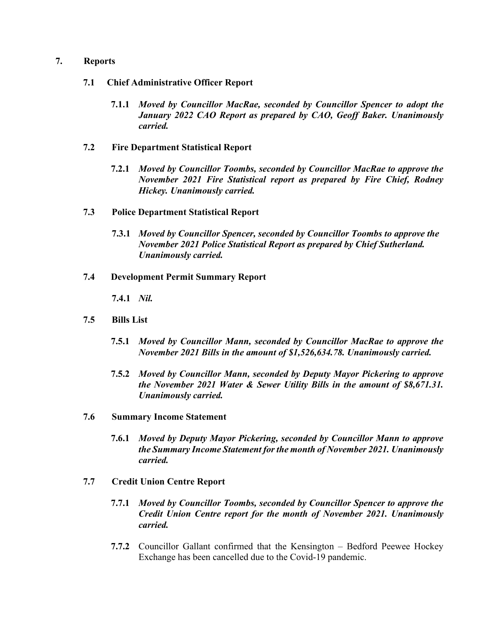### **7. Reports**

- **7.1 Chief Administrative Officer Report**
	- **7.1.1** *Moved by Councillor MacRae, seconded by Councillor Spencer to adopt the January 2022 CAO Report as prepared by CAO, Geoff Baker. Unanimously carried.*
- **7.2 Fire Department Statistical Report**
	- **7.2.1** *Moved by Councillor Toombs, seconded by Councillor MacRae to approve the November 2021 Fire Statistical report as prepared by Fire Chief, Rodney Hickey. Unanimously carried.*
- **7.3 Police Department Statistical Report**
	- **7.3.1** *Moved by Councillor Spencer, seconded by Councillor Toombs to approve the November 2021 Police Statistical Report as prepared by Chief Sutherland. Unanimously carried.*
- **7.4 Development Permit Summary Report**

**7.4.1** *Nil.*

- **7.5 Bills List** 
	- **7.5.1** *Moved by Councillor Mann, seconded by Councillor MacRae to approve the November 2021 Bills in the amount of \$1,526,634.78. Unanimously carried.*
	- **7.5.2** *Moved by Councillor Mann, seconded by Deputy Mayor Pickering to approve the November 2021 Water & Sewer Utility Bills in the amount of \$8,671.31. Unanimously carried.*
- **7.6 Summary Income Statement**
	- **7.6.1** *Moved by Deputy Mayor Pickering, seconded by Councillor Mann to approve the Summary Income Statement for the month of November 2021. Unanimously carried.*
- **7.7 Credit Union Centre Report**
	- **7.7.1** *Moved by Councillor Toombs, seconded by Councillor Spencer to approve the Credit Union Centre report for the month of November 2021. Unanimously carried.*
	- **7.7.2** Councillor Gallant confirmed that the Kensington Bedford Peewee Hockey Exchange has been cancelled due to the Covid-19 pandemic.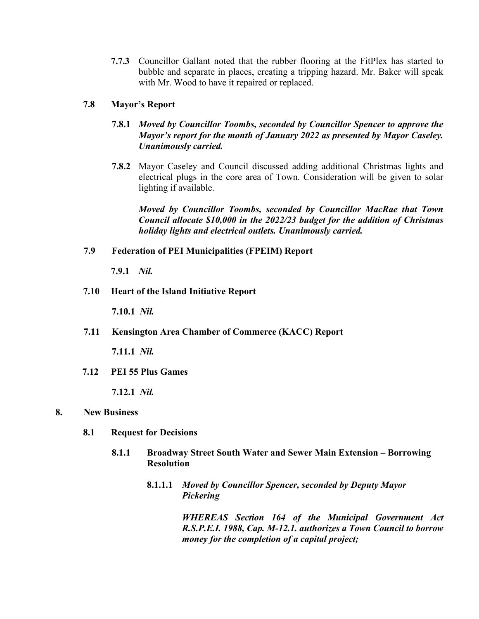**7.7.3** Councillor Gallant noted that the rubber flooring at the FitPlex has started to bubble and separate in places, creating a tripping hazard. Mr. Baker will speak with Mr. Wood to have it repaired or replaced.

## **7.8 Mayor's Report**

- **7.8.1** *Moved by Councillor Toombs, seconded by Councillor Spencer to approve the Mayor's report for the month of January 2022 as presented by Mayor Caseley. Unanimously carried.*
- **7.8.2** Mayor Caseley and Council discussed adding additional Christmas lights and electrical plugs in the core area of Town. Consideration will be given to solar lighting if available.

*Moved by Councillor Toombs, seconded by Councillor MacRae that Town Council allocate \$10,000 in the 2022/23 budget for the addition of Christmas holiday lights and electrical outlets. Unanimously carried.*

### **7.9 Federation of PEI Municipalities (FPEIM) Report**

**7.9.1** *Nil.*

**7.10 Heart of the Island Initiative Report** 

**7.10.1** *Nil.*

**7.11 Kensington Area Chamber of Commerce (KACC) Report** 

**7.11.1** *Nil.*

**7.12 PEI 55 Plus Games**

**7.12.1** *Nil.*

### **8. New Business**

- **8.1 Request for Decisions**
	- **8.1.1 Broadway Street South Water and Sewer Main Extension – Borrowing Resolution**
		- **8.1.1.1** *Moved by Councillor Spencer, seconded by Deputy Mayor Pickering*

*WHEREAS Section 164 of the Municipal Government Act R.S.P.E.I. 1988, Cap. M-12.1. authorizes a Town Council to borrow money for the completion of a capital project;*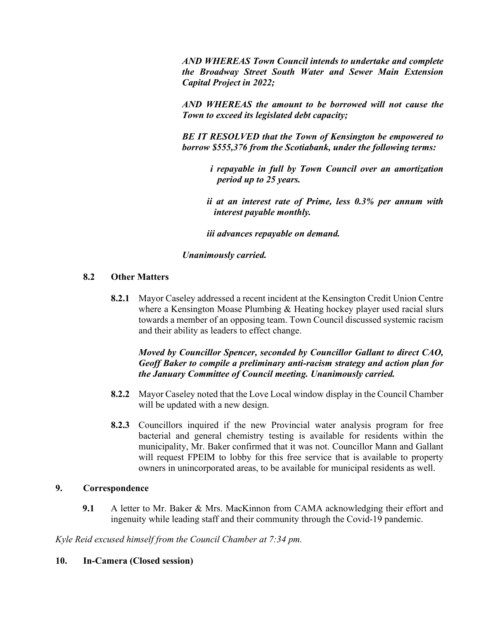*AND WHEREAS Town Council intends to undertake and complete the Broadway Street South Water and Sewer Main Extension Capital Project in 2022;*

*AND WHEREAS the amount to be borrowed will not cause the Town to exceed its legislated debt capacity;*

*BE IT RESOLVED that the Town of Kensington be empowered to borrow \$555,376 from the Scotiabank, under the following terms:*

*i repayable in full by Town Council over an amortization period up to 25 years.*

*ii at an interest rate of Prime, less 0.3% per annum with interest payable monthly.*

*iii advances repayable on demand.*

### *Unanimously carried.*

# **8.2 Other Matters**

**8.2.1** Mayor Caseley addressed a recent incident at the Kensington Credit Union Centre where a Kensington Moase Plumbing & Heating hockey player used racial slurs towards a member of an opposing team. Town Council discussed systemic racism and their ability as leaders to effect change.

# *Moved by Councillor Spencer, seconded by Councillor Gallant to direct CAO, Geoff Baker to compile a preliminary anti-racism strategy and action plan for the January Committee of Council meeting. Unanimously carried.*

- **8.2.2** Mayor Caseley noted that the Love Local window display in the Council Chamber will be updated with a new design.
- **8.2.3** Councillors inquired if the new Provincial water analysis program for free bacterial and general chemistry testing is available for residents within the municipality, Mr. Baker confirmed that it was not. Councillor Mann and Gallant will request FPEIM to lobby for this free service that is available to property owners in unincorporated areas, to be available for municipal residents as well.

# **9. Correspondence**

**9.1** A letter to Mr. Baker & Mrs. MacKinnon from CAMA acknowledging their effort and ingenuity while leading staff and their community through the Covid-19 pandemic.

*Kyle Reid excused himself from the Council Chamber at 7:34 pm.*

# **10. In-Camera (Closed session)**